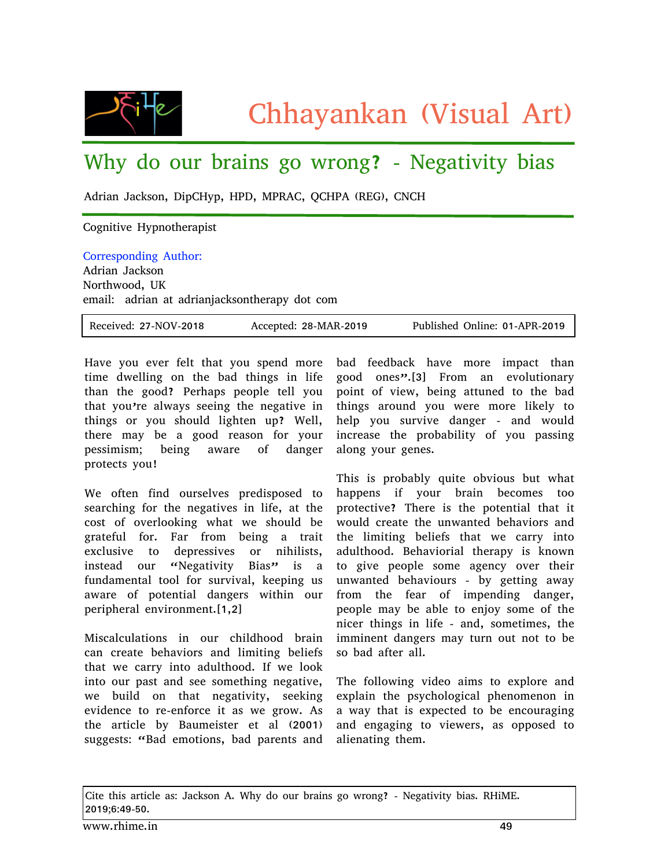

## Why do our brains go wrong? - Negativity bias

Adrian Jackson, DipCHyp, HPD, MPRAC, QCHPA (REG), CNCH

## Cognitive Hypnotherapist

Corresponding Author: Adrian Jackson Northwood, UK email: adrian at adrianjacksontherapy dot com

| Received: 27-NOV-2018 | Accepted: 28-MAR-2019 | Published Online: 01-APR-2019 |
|-----------------------|-----------------------|-------------------------------|
|-----------------------|-----------------------|-------------------------------|

Have you ever felt that you spend more time dwelling on the bad things in life than the good? Perhaps people tell you that you're always seeing the negative in things or you should lighten up? Well, there may be a good reason for your pessimism; being aware of danger protects you!

We often find ourselves predisposed to searching for the negatives in life, at the cost of overlooking what we should be grateful for. Far from being a trait exclusive to depressives or nihilists, instead our "Negativity Bias" is a fundamental tool for survival, keeping us aware of potential dangers within our peripheral environment.[1,2]

Miscalculations in our childhood brain can create behaviors and limiting beliefs that we carry into adulthood. If we look into our past and see something negative, we build on that negativity, seeking evidence to re-enforce it as we grow. As the article by Baumeister et al (2001) suggests: "Bad emotions, bad parents and

bad feedback have more impact than good ones".[3] From an evolutionary point of view, being attuned to the bad things around you were more likely to help you survive danger - and would increase the probability of you passing along your genes.

This is probably quite obvious but what happens if your brain becomes too protective? There is the potential that it would create the unwanted behaviors and the limiting beliefs that we carry into adulthood. Behaviorial therapy is known to give people some agency over their unwanted behaviours - by getting away from the fear of impending danger, people may be able to enjoy some of the nicer things in life - and, sometimes, the imminent dangers may turn out not to be so bad after all.

The following video aims to explore and explain the psychological phenomenon in a way that is expected to be encouraging and engaging to viewers, as opposed to alienating them.

Cite this article as: Jackson A. Why do our brains go wrong? - Negativity bias. RHiME. 2019;6:49-50.